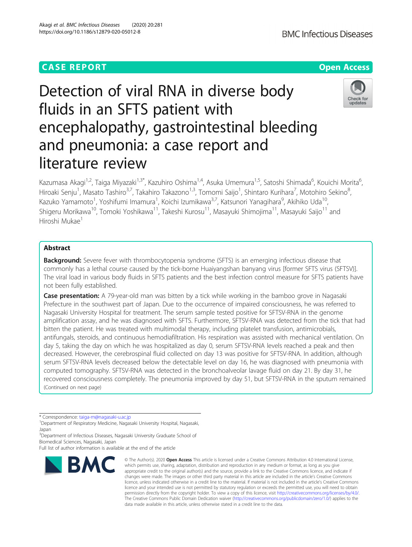# **CASE REPORT CASE ACCESS**

# Detection of viral RNA in diverse body fluids in an SFTS patient with encephalopathy, gastrointestinal bleeding and pneumonia: a case report and literature review

Kazumasa Akagi<sup>1,2</sup>, Taiga Miyazaki<sup>1,3\*</sup>, Kazuhiro Oshima<sup>1,4</sup>, Asuka Umemura<sup>1,5</sup>, Satoshi Shimada<sup>6</sup>, Kouichi Morita<sup>6</sup> , Hiroaki Senju<sup>1</sup>, Masato Tashiro<sup>3,7</sup>, Takahiro Takazono<sup>1,3</sup>, Tomomi Saijo<sup>1</sup>, Shintaro Kurihara<sup>7</sup>, Motohiro Sekino<sup>8</sup> , Kazuko Yamamoto<sup>1</sup>, Yoshifumi Imamura<sup>1</sup>, Koichi Izumikawa<sup>3,7</sup>, Katsunori Yanagihara<sup>9</sup>, Akihiko Uda<sup>10</sup>, Shigeru Morikawa<sup>10</sup>, Tomoki Yoshikawa<sup>11</sup>, Takeshi Kurosu<sup>11</sup>, Masayuki Shimojima<sup>11</sup>, Masayuki Saijo<sup>11</sup> and Hiroshi Mukae<sup>1</sup>

# Abstract

**Background:** Severe fever with thrombocytopenia syndrome (SFTS) is an emerging infectious disease that commonly has a lethal course caused by the tick-borne Huaiyangshan banyang virus [former SFTS virus (SFTSV)]. The viral load in various body fluids in SFTS patients and the best infection control measure for SFTS patients have not been fully established.

**Case presentation:** A 79-year-old man was bitten by a tick while working in the bamboo grove in Nagasaki Prefecture in the southwest part of Japan. Due to the occurrence of impaired consciousness, he was referred to Nagasaki University Hospital for treatment. The serum sample tested positive for SFTSV-RNA in the genome amplification assay, and he was diagnosed with SFTS. Furthermore, SFTSV-RNA was detected from the tick that had bitten the patient. He was treated with multimodal therapy, including platelet transfusion, antimicrobials, antifungals, steroids, and continuous hemodiafiltration. His respiration was assisted with mechanical ventilation. On day 5, taking the day on which he was hospitalized as day 0, serum SFTSV-RNA levels reached a peak and then decreased. However, the cerebrospinal fluid collected on day 13 was positive for SFTSV-RNA. In addition, although serum SFTSV-RNA levels decreased below the detectable level on day 16, he was diagnosed with pneumonia with computed tomography. SFTSV-RNA was detected in the bronchoalveolar lavage fluid on day 21. By day 31, he recovered consciousness completely. The pneumonia improved by day 51, but SFTSV-RNA in the sputum remained (Continued on next page)

\* Correspondence: [taiga-m@nagasaki-u.ac.jp](mailto:taiga-m@nagasaki-u.ac.jp) <sup>1</sup>

**BMC** 

Department of Respiratory Medicine, Nagasaki University Hospital, Nagasaki, Japan

<sup>3</sup> Department of Infectious Diseases, Nagasaki University Graduate School of Biomedical Sciences, Nagasaki, Japan

Full list of author information is available at the end of the article

© The Author(s), 2020 **Open Access** This article is licensed under a Creative Commons Attribution 4.0 International License, which permits use, sharing, adaptation, distribution and reproduction in any medium or format, as long as you give



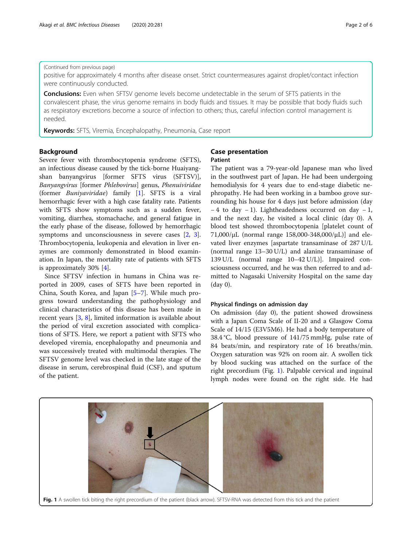# Akagi et al. BMC Infectious Diseases (2020) 20:281

# (Continued from previous page)

positive for approximately 4 months after disease onset. Strict countermeasures against droplet/contact infection were continuously conducted.

**Conclusions:** Even when SFTSV genome levels become undetectable in the serum of SFTS patients in the convalescent phase, the virus genome remains in body fluids and tissues. It may be possible that body fluids such as respiratory excretions become a source of infection to others; thus, careful infection control management is needed.

Keywords: SFTS, Viremia, Encephalopathy, Pneumonia, Case report

# Background

Severe fever with thrombocytopenia syndrome (SFTS), an infectious disease caused by the tick-borne Huaiyangshan banyangvirus [former SFTS virus (SFTSV)], Banyangvirus [former Phlebovirus] genus, Phenuiviridae (former Buniyaviridae) family [\[1](#page-5-0)]. SFTS is a viral hemorrhagic fever with a high case fatality rate. Patients with SFTS show symptoms such as a sudden fever, vomiting, diarrhea, stomachache, and general fatigue in the early phase of the disease, followed by hemorrhagic symptoms and unconsciousness in severe cases [\[2](#page-5-0), [3](#page-5-0)]. Thrombocytopenia, leukopenia and elevation in liver enzymes are commonly demonstrated in blood examination. In Japan, the mortality rate of patients with SFTS is approximately 30% [[4\]](#page-5-0).

Since SFTSV infection in humans in China was reported in 2009, cases of SFTS have been reported in China, South Korea, and Japan [[5](#page-5-0)–[7](#page-5-0)]. While much progress toward understanding the pathophysiology and clinical characteristics of this disease has been made in recent years [\[3](#page-5-0), [8\]](#page-5-0), limited information is available about the period of viral excretion associated with complications of SFTS. Here, we report a patient with SFTS who developed viremia, encephalopathy and pneumonia and was successively treated with multimodal therapies. The SFTSV genome level was checked in the late stage of the disease in serum, cerebrospinal fluid (CSF), and sputum of the patient.

# Case presentation Patient

The patient was a 79-year-old Japanese man who lived in the southwest part of Japan. He had been undergoing hemodialysis for 4 years due to end-stage diabetic nephropathy. He had been working in a bamboo grove surrounding his house for 4 days just before admission (day − 4 to day − 1). Lightheadedness occurred on day − 1, and the next day, he visited a local clinic (day 0). A blood test showed thrombocytopenia [platelet count of  $71,000/\mu L$  (normal range 158,000-348,000/ $\mu L$ )] and elevated liver enzymes [aspartate transaminase of 287 U/L (normal range 13–30 U/L) and alanine transaminase of 139 U/L (normal range 10–42 U/L)]. Impaired consciousness occurred, and he was then referred to and admitted to Nagasaki University Hospital on the same day (day 0).

# Physical findings on admission day

On admission (day 0), the patient showed drowsiness with a Japan Coma Scale of II-20 and a Glasgow Coma Scale of 14/15 (E3V5M6). He had a body temperature of 38.4 °C, blood pressure of 141/75 mmHg, pulse rate of 84 beats/min, and respiratory rate of 16 breaths/min. Oxygen saturation was 92% on room air. A swollen tick by blood sucking was attached on the surface of the right precordium (Fig. 1). Palpable cervical and inguinal lymph nodes were found on the right side. He had

Fig. 1 A swollen tick biting the right precordium of the patient (black arrow). SFTSV-RNA was detected from this tick and the patient

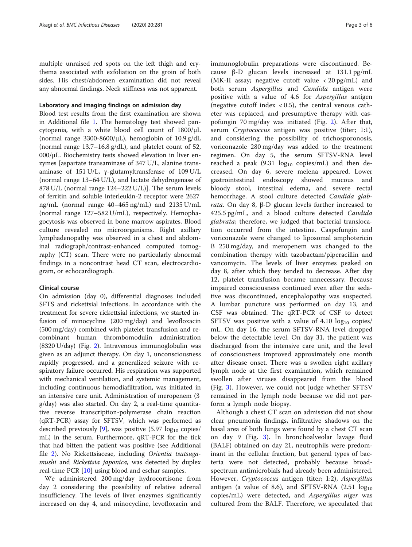multiple unraised red spots on the left thigh and erythema associated with exfoliation on the groin of both sides. His chest/abdomen examination did not reveal any abnormal findings. Neck stiffness was not apparent.

# Laboratory and imaging findings on admission day

Blood test results from the first examination are shown in Additional file [1.](#page-5-0) The hematology test showed pancytopenia, with a white blood cell count of 1800/μL (normal range  $3300-8600/\mu L$ ), hemoglobin of  $10.9 \text{ g}/dL$ (normal range 13.7–16.8 g/dL), and platelet count of 52, 000/μL. Biochemistry tests showed elevation in liver enzymes [aspartate transaminase of 347 U/L, alanine transaminase of 151 U/L, γ-glutamyltransferase of 109 U/L (normal range 13–64 U/L), and lactate dehydrogenase of 878 U/L (normal range 124–222 U/L)]. The serum levels of ferritin and soluble interleukin-2 receptor were 2627 ng/mL (normal range 40–465 ng/mL) and 2135 U/mL (normal range 127–582 U/mL), respectively. Hemophagocytosis was observed in bone marrow aspirates. Blood culture revealed no microorganisms. Right axillary lymphadenopathy was observed in a chest and abdominal radiograph/contrast-enhanced computed tomography (CT) scan. There were no particularly abnormal findings in a noncontrast head CT scan, electrocardiogram, or echocardiograph.

# Clinical course

On admission (day 0), differential diagnoses included SFTS and rickettsial infections. In accordance with the treatment for severe rickettsial infections, we started infusion of minocycline (200 mg/day) and levofloxacin (500 mg/day) combined with platelet transfusion and recombinant human thrombomodulin administration (8320 U/day) (Fig. [2\)](#page-3-0). Intravenous immunoglobulin was given as an adjunct therapy. On day 1, unconsciousness rapidly progressed, and a generalized seizure with respiratory failure occurred. His respiration was supported with mechanical ventilation, and systemic management, including continuous hemodiafiltration, was initiated in an intensive care unit. Administration of meropenem (3 g/day) was also started. On day 2, a real-time quantitative reverse transcription-polymerase chain reaction (qRT-PCR) assay for SFTSV, which was performed as described previously [\[9](#page-5-0)], was positive  $(5.97 \log_{10} \text{copies})$ mL) in the serum. Furthermore, qRT-PCR for the tick that had bitten the patient was positive (see Additional file [2](#page-5-0)). No Rickettsiaceae, including Orientia tsutsugamushi and Rickettsia japonica, was detected by duplex real-time PCR [[10\]](#page-5-0) using blood and eschar samples.

We administered 200 mg/day hydrocortisone from day 2 considering the possibility of relative adrenal insufficiency. The levels of liver enzymes significantly increased on day 4, and minocycline, levofloxacin and immunoglobulin preparations were discontinued. Because β-D glucan levels increased at 131.1 pg/mL (MK-II assay; negative cutoff value < 20 pg/mL) and both serum *Aspergillus* and *Candida* antigen were positive with a value of 4.6 for Aspergillus antigen (negative cutoff index  $< 0.5$ ), the central venous catheter was replaced, and presumptive therapy with caspofungin 70 mg/day was initiated (Fig. [2\)](#page-3-0). After that, serum Cryptococcus antigen was positive (titer; 1:1), and considering the possibility of trichosporonosis, voriconazole 280 mg/day was added to the treatment regimen. On day 5, the serum SFTSV-RNA level reached a peak  $(9.31 \log_{10} \text{ copies/mL})$  and then decreased. On day 6, severe melena appeared. Lower gastrointestinal endoscopy showed mucous and bloody stool, intestinal edema, and severe rectal hemorrhage. A stool culture detected Candida glabrata. On day 8, β-D glucan levels further increased to 425.5 pg/mL, and a blood culture detected Candida glabrata; therefore, we judged that bacterial translocation occurred from the intestine. Caspofungin and voriconazole were changed to liposomal amphotericin B 250 mg/day, and meropenem was changed to the combination therapy with tazobactam/piperacillin and vancomycin. The levels of liver enzymes peaked on day 8, after which they tended to decrease. After day 12, platelet transfusion became unnecessary. Because impaired consciousness continued even after the sedative was discontinued, encephalopathy was suspected. A lumbar puncture was performed on day 13, and CSF was obtained. The qRT-PCR of CSF to detect SFTSV was positive with a value of  $4.10 \text{ log}_{10}$  copies/ mL. On day 16, the serum SFTSV-RNA level dropped below the detectable level. On day 31, the patient was discharged from the intensive care unit, and the level of consciousness improved approximately one month after disease onset. There was a swollen right axillary lymph node at the first examination, which remained swollen after viruses disappeared from the blood (Fig. [3\)](#page-4-0). However, we could not judge whether SFTSV remained in the lymph node because we did not perform a lymph node biopsy.

Although a chest CT scan on admission did not show clear pneumonia findings, infiltrative shadows on the basal area of both lungs were found by a chest CT scan on day 9 (Fig. [3](#page-4-0)). In bronchoalveolar lavage fluid (BALF) obtained on day 21, neutrophils were predominant in the cellular fraction, but general types of bacteria were not detected, probably because broadspectrum antimicrobials had already been administered. However, Cryptococcus antigen (titer; 1:2), Aspergillus antigen (a value of 8.6), and SFTSV-RNA  $(2.51 \text{ log}_{10})$ copies/mL) were detected, and Aspergillus niger was cultured from the BALF. Therefore, we speculated that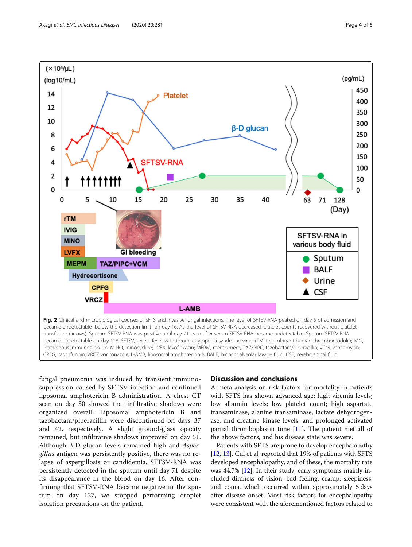<span id="page-3-0"></span>

fungal pneumonia was induced by transient immunosuppression caused by SFTSV infection and continued liposomal amphotericin B administration. A chest CT scan on day 30 showed that infiltrative shadows were organized overall. Liposomal amphotericin B and tazobactam/piperacillin were discontinued on days 37 and 42, respectively. A slight ground-glass opacity remained, but infiltrative shadows improved on day 51. Although β-D glucan levels remained high and Aspergillus antigen was persistently positive, there was no relapse of aspergillosis or candidemia. SFTSV-RNA was persistently detected in the sputum until day 71 despite its disappearance in the blood on day 16. After confirming that SFTSV-RNA became negative in the sputum on day 127, we stopped performing droplet isolation precautions on the patient.

# Discussion and conclusions

A meta-analysis on risk factors for mortality in patients with SFTS has shown advanced age; high viremia levels; low albumin levels; low platelet count; high aspartate transaminase, alanine transaminase, lactate dehydrogenase, and creatine kinase levels; and prolonged activated partial thromboplastin time [\[11](#page-5-0)]. The patient met all of the above factors, and his disease state was severe.

Patients with SFTS are prone to develop encephalopathy [[12](#page-5-0), [13\]](#page-5-0). Cui et al. reported that 19% of patients with SFTS developed encephalopathy, and of these, the mortality rate was 44.7% [\[12\]](#page-5-0). In their study, early symptoms mainly included dimness of vision, bad feeling, cramp, sleepiness, and coma, which occurred within approximately 5 days after disease onset. Most risk factors for encephalopathy were consistent with the aforementioned factors related to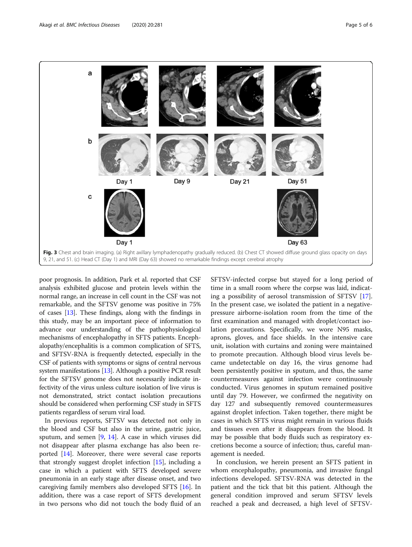<span id="page-4-0"></span>

poor prognosis. In addition, Park et al. reported that CSF analysis exhibited glucose and protein levels within the normal range, an increase in cell count in the CSF was not remarkable, and the SFTSV genome was positive in 75% of cases [\[13](#page-5-0)]. These findings, along with the findings in this study, may be an important piece of information to advance our understanding of the pathophysiological mechanisms of encephalopathy in SFTS patients. Encephalopathy/encephalitis is a common complication of SFTS, and SFTSV-RNA is frequently detected, especially in the CSF of patients with symptoms or signs of central nervous system manifestations [\[13\]](#page-5-0). Although a positive PCR result for the SFTSV genome does not necessarily indicate infectivity of the virus unless culture isolation of live virus is not demonstrated, strict contact isolation precautions should be considered when performing CSF study in SFTS patients regardless of serum viral load.

In previous reports, SFTSV was detected not only in the blood and CSF but also in the urine, gastric juice, sputum, and semen [\[9](#page-5-0), [14\]](#page-5-0). A case in which viruses did not disappear after plasma exchange has also been reported [\[14](#page-5-0)]. Moreover, there were several case reports that strongly suggest droplet infection [[15](#page-5-0)], including a case in which a patient with SFTS developed severe pneumonia in an early stage after disease onset, and two caregiving family members also developed SFTS [\[16](#page-5-0)]. In addition, there was a case report of SFTS development in two persons who did not touch the body fluid of an SFTSV-infected corpse but stayed for a long period of time in a small room where the corpse was laid, indicating a possibility of aerosol transmission of SFTSV [\[17](#page-5-0)]. In the present case, we isolated the patient in a negativepressure airborne-isolation room from the time of the first examination and managed with droplet/contact isolation precautions. Specifically, we wore N95 masks, aprons, gloves, and face shields. In the intensive care unit, isolation with curtains and zoning were maintained to promote precaution. Although blood virus levels became undetectable on day 16, the virus genome had been persistently positive in sputum, and thus, the same countermeasures against infection were continuously conducted. Virus genomes in sputum remained positive until day 79. However, we confirmed the negativity on day 127 and subsequently removed countermeasures against droplet infection. Taken together, there might be cases in which SFTS virus might remain in various fluids and tissues even after it disappears from the blood. It may be possible that body fluids such as respiratory excretions become a source of infection; thus, careful management is needed.

In conclusion, we herein present an SFTS patient in whom encephalopathy, pneumonia, and invasive fungal infections developed. SFTSV-RNA was detected in the patient and the tick that bit this patient. Although the general condition improved and serum SFTSV levels reached a peak and decreased, a high level of SFTSV-